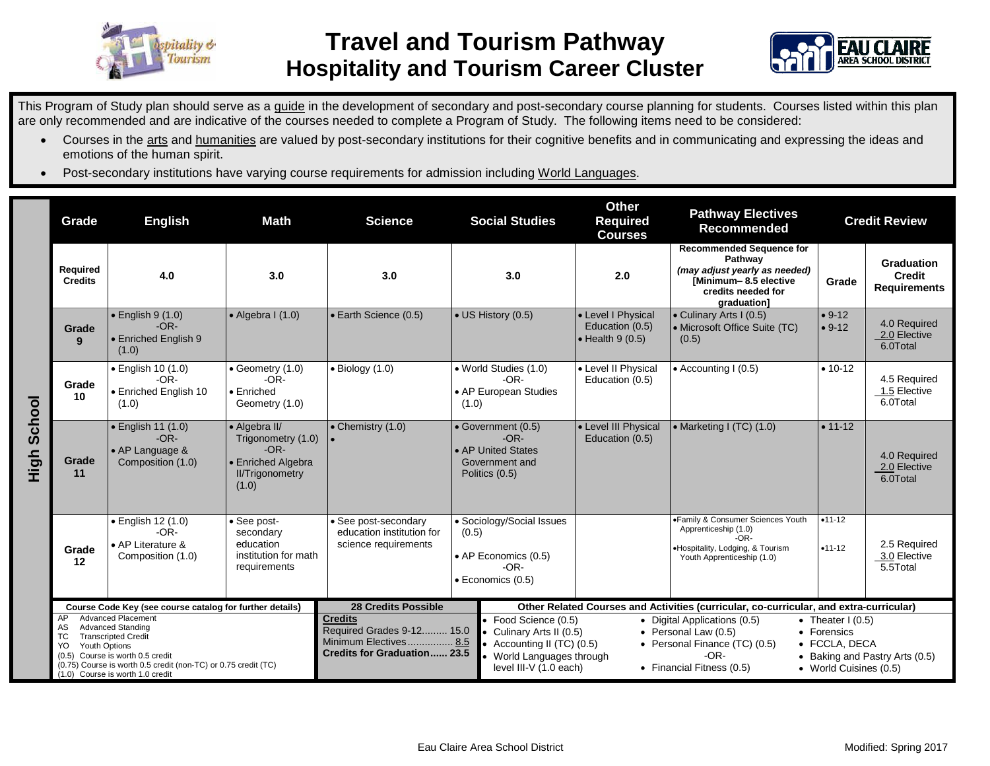



This Program of Study plan should serve as a guide in the development of secondary and post-secondary course planning for students. Courses listed within this plan are only recommended and are indicative of the courses needed to complete a Program of Study. The following items need to be considered:

- Courses in the arts and humanities are valued by post-secondary institutions for their cognitive benefits and in communicating and expressing the ideas and emotions of the human spirit.
- Post-secondary institutions have varying course requirements for admission including World Languages.

|                | Grade                                                                                                                                                                                                                                                                   | <b>Math</b><br><b>English</b>                                                |                                                                                                        | <b>Science</b>                                                                                             | <b>Social Studies</b>                                                                             |                                                                                                                                                                                                                                                                                                                                                                                   | <b>Other</b><br>Required<br><b>Courses</b>                                             | <b>Pathway Electives</b><br>Recommended                                                                                                   |                      | <b>Credit Review</b>                               |  |
|----------------|-------------------------------------------------------------------------------------------------------------------------------------------------------------------------------------------------------------------------------------------------------------------------|------------------------------------------------------------------------------|--------------------------------------------------------------------------------------------------------|------------------------------------------------------------------------------------------------------------|---------------------------------------------------------------------------------------------------|-----------------------------------------------------------------------------------------------------------------------------------------------------------------------------------------------------------------------------------------------------------------------------------------------------------------------------------------------------------------------------------|----------------------------------------------------------------------------------------|-------------------------------------------------------------------------------------------------------------------------------------------|----------------------|----------------------------------------------------|--|
| School<br>High | Required<br><b>Credits</b>                                                                                                                                                                                                                                              | 4.0                                                                          | 3.0                                                                                                    | 3.0                                                                                                        |                                                                                                   | 3.0                                                                                                                                                                                                                                                                                                                                                                               | 2.0                                                                                    | <b>Recommended Sequence for</b><br>Pathway<br>(may adjust yearly as needed)<br>[Minimum-8.5 elective<br>credits needed for<br>graduation] | Grade                | Graduation<br><b>Credit</b><br><b>Requirements</b> |  |
|                | Grade<br>9                                                                                                                                                                                                                                                              | $\cdot$ English 9 (1.0)<br>$-OR-$<br>• Enriched English 9<br>(1.0)           | $\bullet$ Algebra I (1.0)                                                                              | • Earth Science (0.5)                                                                                      |                                                                                                   | • US History (0.5)                                                                                                                                                                                                                                                                                                                                                                | • Level I Physical<br>Education (0.5)<br>$\bullet$ Health 9 (0.5)                      | • Culinary Arts I (0.5)<br>• Microsoft Office Suite (TC)<br>(0.5)                                                                         | $• 9-12$<br>$• 9-12$ | 4.0 Required<br>2.0 Elective<br>6.0Total           |  |
|                | Grade<br>10                                                                                                                                                                                                                                                             | • English 10 (1.0)<br>$-OR-$<br>• Enriched English 10<br>(1.0)               | • Geometry (1.0)<br>$-OR-$<br>• Enriched<br>Geometry (1.0)                                             | $\bullet$ Biology (1.0)                                                                                    | • World Studies (1.0)<br>$-OR-$<br>• AP European Studies<br>(1.0)                                 |                                                                                                                                                                                                                                                                                                                                                                                   | • Level II Physical<br>Education (0.5)                                                 | $\bullet$ Accounting I (0.5)                                                                                                              | $• 10-12$            | 4.5 Required<br>1.5 Elective<br>6.0Total           |  |
|                | Grade<br>11                                                                                                                                                                                                                                                             | $\bullet$ English 11 (1.0)<br>$-OR-$<br>• AP Language &<br>Composition (1.0) | • Algebra II/<br>Trigonometry (1.0)<br>$-OR-$<br>• Enriched Algebra<br><b>II/Trigonometry</b><br>(1.0) | $\bullet$ Chemistry (1.0)                                                                                  | • Government (0.5)<br>$-OR-$<br>• AP United States<br>Government and<br>Politics (0.5)            |                                                                                                                                                                                                                                                                                                                                                                                   | • Level III Physical<br>Education (0.5)                                                | • Marketing I (TC) (1.0)                                                                                                                  | $• 11 - 12$          | 4.0 Required<br>2.0 Elective<br>6.0Total           |  |
|                | Grade<br>12                                                                                                                                                                                                                                                             | · English 12 (1.0)<br>$-OR-$<br>• AP Literature &<br>Composition (1.0)       | • See post-<br>secondary<br>education<br>institution for math<br>requirements                          | • See post-secondary<br>education institution for<br>science requirements                                  | • Sociology/Social Issues<br>(0.5)<br>• AP Economics (0.5)<br>$-OR-$<br>$\bullet$ Economics (0.5) |                                                                                                                                                                                                                                                                                                                                                                                   |                                                                                        | •Family & Consumer Sciences Youth<br>Apprenticeship (1.0)<br>$-OR-$<br>·Hospitality, Lodging, & Tourism<br>Youth Apprenticeship (1.0)     | $•11-12$<br>$•11-12$ | 2.5 Required<br>3.0 Elective<br>5.5Total           |  |
|                | Course Code Key (see course catalog for further details)                                                                                                                                                                                                                |                                                                              |                                                                                                        | <b>28 Credits Possible</b>                                                                                 |                                                                                                   |                                                                                                                                                                                                                                                                                                                                                                                   | Other Related Courses and Activities (curricular, co-curricular, and extra-curricular) |                                                                                                                                           |                      |                                                    |  |
|                | <b>Advanced Placement</b><br>AP<br><b>Advanced Standing</b><br>AS<br>ТC<br><b>Transcripted Credit</b><br>Youth Options<br>YO.<br>(0.5) Course is worth 0.5 credit<br>(0.75) Course is worth 0.5 credit (non-TC) or 0.75 credit (TC)<br>(1.0) Course is worth 1.0 credit |                                                                              |                                                                                                        | <b>Credits</b><br>Required Grades 9-12 15.0<br>Minimum Electives 8.5<br><b>Credits for Graduation 23.5</b> |                                                                                                   | Food Science (0.5)<br>• Digital Applications (0.5)<br>• Theater $1(0.5)$<br>Culinary Arts II (0.5)<br>• Personal Law $(0.5)$<br>• Forensics<br>Accounting II (TC) (0.5)<br>• Personal Finance (TC) (0.5)<br>• FCCLA, DECA<br>$-OR-$<br>World Languages through<br>• Baking and Pastry Arts (0.5)<br>level III-V (1.0 each)<br>• Financial Fitness (0.5)<br>• World Cuisines (0.5) |                                                                                        |                                                                                                                                           |                      |                                                    |  |